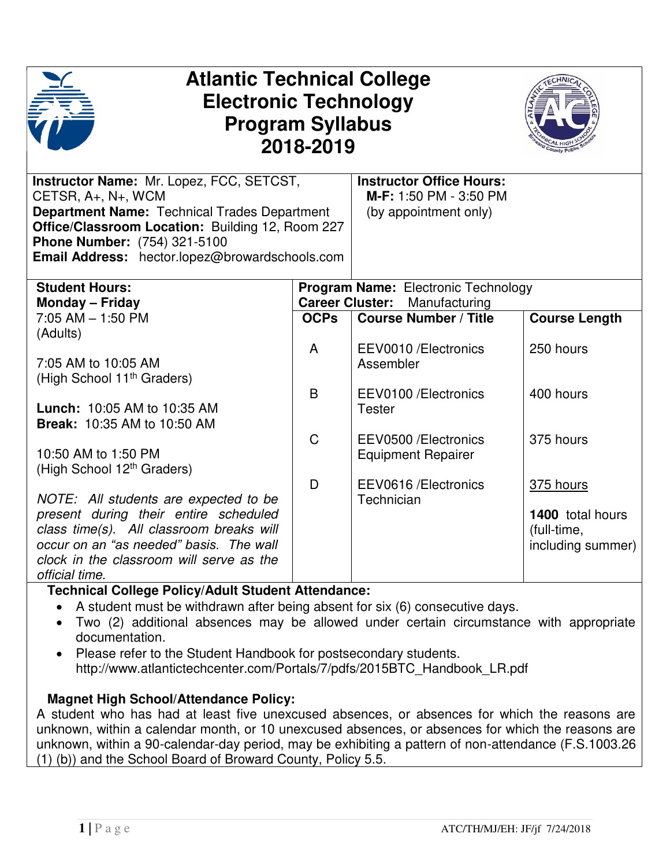| <b>Atlantic Technical College</b><br><b>Electronic Technology</b><br><b>Program Syllabus</b><br>2018-2019                                                                                                                                                          |             |                                                                                    |                                                                   |
|--------------------------------------------------------------------------------------------------------------------------------------------------------------------------------------------------------------------------------------------------------------------|-------------|------------------------------------------------------------------------------------|-------------------------------------------------------------------|
| <b>Instructor Name: Mr. Lopez, FCC, SETCST,</b><br>CETSR, A+, N+, WCM<br><b>Department Name: Technical Trades Department</b><br>Office/Classroom Location: Building 12, Room 227<br>Phone Number: (754) 321-5100<br>Email Address: hector.lopez@browardschools.com |             | <b>Instructor Office Hours:</b><br>M-F: 1:50 PM - 3:50 PM<br>(by appointment only) |                                                                   |
| <b>Student Hours:</b>                                                                                                                                                                                                                                              |             | <b>Program Name: Electronic Technology</b>                                         |                                                                   |
| <b>Monday - Friday</b><br>$7:05$ AM $-$ 1:50 PM<br>(Adults)                                                                                                                                                                                                        | <b>OCPs</b> | <b>Career Cluster: Manufacturing</b><br><b>Course Number / Title</b>               | <b>Course Length</b>                                              |
| 7:05 AM to 10:05 AM<br>(High School 11 <sup>th</sup> Graders)                                                                                                                                                                                                      | A           | EEV0010/Electronics<br>Assembler                                                   | 250 hours                                                         |
| <b>Lunch: 10:05 AM to 10:35 AM</b><br><b>Break: 10:35 AM to 10:50 AM</b>                                                                                                                                                                                           | B           | EEV0100/Electronics<br><b>Tester</b>                                               | 400 hours                                                         |
| 10:50 AM to 1:50 PM<br>(High School 12 <sup>th</sup> Graders)                                                                                                                                                                                                      | $\mathsf C$ | EEV0500/Electronics<br><b>Equipment Repairer</b>                                   | 375 hours                                                         |
| NOTE: All students are expected to be<br>present during their entire scheduled<br>class time(s). All classroom breaks will<br>occur on an "as needed" basis. The wall<br>clock in the classroom will serve as the<br>official time.                                | D           | EEV0616/Electronics<br>Technician                                                  | 375 hours<br>1400 total hours<br>(full-time,<br>including summer) |

## **Technical College Policy/Adult Student Attendance:**

- A student must be withdrawn after being absent for six (6) consecutive days.
- Two (2) additional absences may be allowed under certain circumstance with appropriate documentation.
- Please refer to the Student Handbook for postsecondary students. http://www.atlantictechcenter.com/Portals/7/pdfs/2015BTC\_Handbook\_LR.pdf

## **Magnet High School/Attendance Policy:**

A student who has had at least five unexcused absences, or absences for which the reasons are unknown, within a calendar month, or 10 unexcused absences, or absences for which the reasons are unknown, within a 90-calendar-day period, may be exhibiting a pattern of non-attendance (F.S.1003.26 (1) (b)) and the School Board of Broward County, Policy 5.5.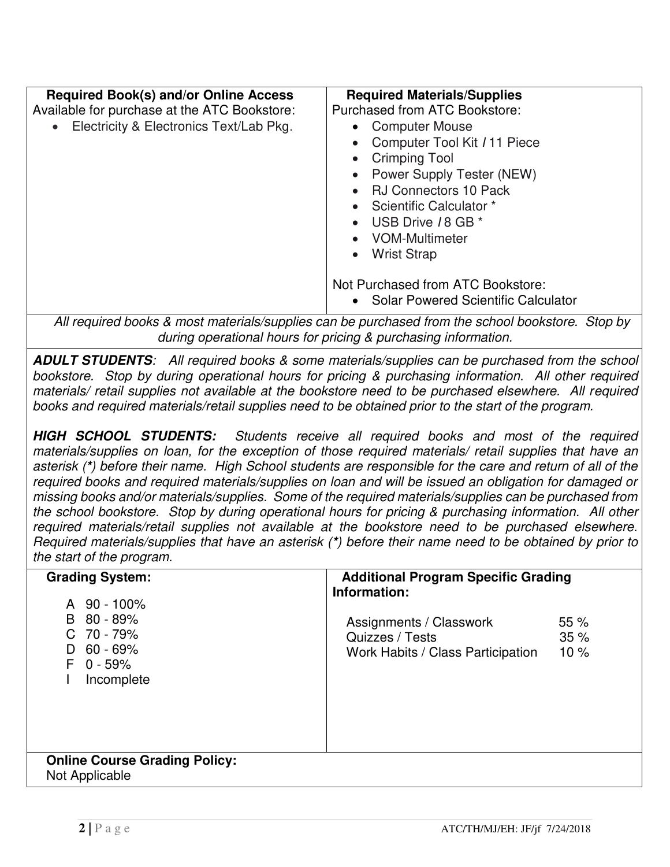| <b>Required Book(s) and/or Online Access</b><br>Available for purchase at the ATC Bookstore:<br>• Electricity & Electronics Text/Lab Pkg. | <b>Required Materials/Supplies</b><br>Purchased from ATC Bookstore:<br>• Computer Mouse<br>Computer Tool Kit / 11 Piece<br><b>Crimping Tool</b><br>Power Supply Tester (NEW)<br><b>RJ Connectors 10 Pack</b><br>Scientific Calculator *<br>USB Drive 18 GB *<br>VOM-Multimeter<br><b>Wrist Strap</b><br>Not Purchased from ATC Bookstore:<br>• Solar Powered Scientific Calculator |
|-------------------------------------------------------------------------------------------------------------------------------------------|------------------------------------------------------------------------------------------------------------------------------------------------------------------------------------------------------------------------------------------------------------------------------------------------------------------------------------------------------------------------------------|
|                                                                                                                                           | All required books & most materials/supplies can be purchased from the school bookstore. Stop by                                                                                                                                                                                                                                                                                   |

*All most materials/supplies can be purchased from the school bookstore. Stop by during operational hours for pricing & purchasing information.*

**ADULT STUDENTS***: All required books & some materials/supplies can be purchased from the school bookstore. Stop by during operational hours for pricing & purchasing information. All other required materials/ retail supplies not available at the bookstore need to be purchased elsewhere. All required books and required materials/retail supplies need to be obtained prior to the start of the program.* 

**HIGH SCHOOL STUDENTS:** *Students receive all required books and most of the required materials/supplies on loan, for the exception of those required materials/ retail supplies that have an asterisk (***\****) before their name. High School students are responsible for the care and return of all of the required books and required materials/supplies on loan and will be issued an obligation for damaged or missing books and/or materials/supplies. Some of the required materials/supplies can be purchased from the school bookstore. Stop by during operational hours for pricing & purchasing information. All other required materials/retail supplies not available at the bookstore need to be purchased elsewhere. Required materials/supplies that have an asterisk (***\****) before their name need to be obtained by prior to the start of the program.* 

| <b>Grading System:</b><br>A 90 - 100%                                                   | <b>Additional Program Specific Grading</b><br>Information:                                           |
|-----------------------------------------------------------------------------------------|------------------------------------------------------------------------------------------------------|
| $80 - 89%$<br>B.<br>70 - 79%<br>C.<br>$60 - 69%$<br>D.<br>$0 - 59%$<br>F.<br>Incomplete | Assignments / Classwork<br>55%<br>35%<br>Quizzes / Tests<br>10%<br>Work Habits / Class Participation |
| <b>Online Course Grading Policy:</b><br>Not Applicable                                  |                                                                                                      |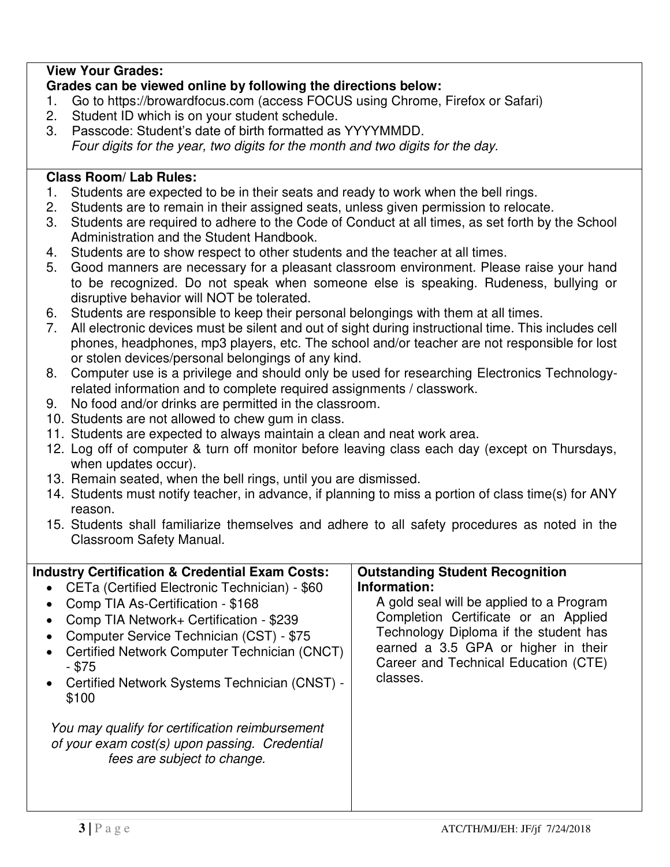# **View Your Grades:**

## **Grades can be viewed online by following the directions below:**

- 1. Go to https://browardfocus.com (access FOCUS using Chrome, Firefox or Safari)
- 2. Student ID which is on your student schedule.
- 3. Passcode: Student's date of birth formatted as YYYYMMDD. *Four digits for the year, two digits for the month and two digits for the day.*

#### **Class Room/ Lab Rules:**

- 1. Students are expected to be in their seats and ready to work when the bell rings.
- 2. Students are to remain in their assigned seats, unless given permission to relocate.
- 3. Students are required to adhere to the Code of Conduct at all times, as set forth by the School Administration and the Student Handbook.
- 4. Students are to show respect to other students and the teacher at all times.
- 5. Good manners are necessary for a pleasant classroom environment. Please raise your hand to be recognized. Do not speak when someone else is speaking. Rudeness, bullying or disruptive behavior will NOT be tolerated.
- 6. Students are responsible to keep their personal belongings with them at all times.
- 7. All electronic devices must be silent and out of sight during instructional time. This includes cell phones, headphones, mp3 players, etc. The school and/or teacher are not responsible for lost or stolen devices/personal belongings of any kind.
- 8. Computer use is a privilege and should only be used for researching Electronics Technologyrelated information and to complete required assignments / classwork.
- 9. No food and/or drinks are permitted in the classroom.
- 10. Students are not allowed to chew gum in class.
- 11. Students are expected to always maintain a clean and neat work area.
- 12. Log off of computer & turn off monitor before leaving class each day (except on Thursdays, when updates occur).
- 13. Remain seated, when the bell rings, until you are dismissed.
- 14. Students must notify teacher, in advance, if planning to miss a portion of class time(s) for ANY reason.
- 15. Students shall familiarize themselves and adhere to all safety procedures as noted in the Classroom Safety Manual.

| <b>Industry Certification &amp; Credential Exam Costs:</b>                                                                                                                                                                                                                                                                                                                                                                                                                                        | <b>Outstanding Student Recognition</b>                                                                                                                                                                                               |
|---------------------------------------------------------------------------------------------------------------------------------------------------------------------------------------------------------------------------------------------------------------------------------------------------------------------------------------------------------------------------------------------------------------------------------------------------------------------------------------------------|--------------------------------------------------------------------------------------------------------------------------------------------------------------------------------------------------------------------------------------|
| CETa (Certified Electronic Technician) - \$60<br>$\bullet$<br>Comp TIA As-Certification - \$168<br>$\bullet$<br>Comp TIA Network+ Certification - \$239<br>Computer Service Technician (CST) - \$75<br>$\bullet$<br>Certified Network Computer Technician (CNCT)<br>$\bullet$<br>- \$75<br>Certified Network Systems Technician (CNST) -<br>$\bullet$<br>\$100<br>You may qualify for certification reimbursement<br>of your exam cost(s) upon passing. Credential<br>fees are subject to change. | Information:<br>A gold seal will be applied to a Program<br>Completion Certificate or an Applied<br>Technology Diploma if the student has<br>earned a 3.5 GPA or higher in their<br>Career and Technical Education (CTE)<br>classes. |